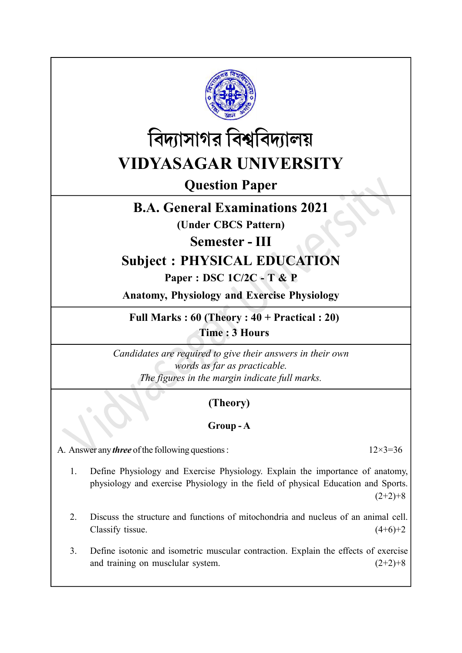



Question Paper

# B.A. General Examinations 2021

(Under CBCS Pattern)

Semester - III

# Subject : PHYSICAL EDUCATION

# Paper : DSC 1C/2C - T & P

Anatomy, Physiology and Exercise Physiology

Full Marks :  $60$  (Theory :  $40 + Practical$  : 20) Time : 3 Hours

Candidates are required to give their answers in their own words as far as practicable. The figures in the margin indicate full marks.

# (Theory)

### Group - A

A. Answer any *three* of the following questions :  $12 \times 3 = 36$ 

- 1. Define Physiology and Exercise Physiology. Explain the importance of anatomy, physiology and exercise Physiology in the field of physical Education and Sports.  $(2+2)+8$
- 2. Discuss the structure and functions of mitochondria and nucleus of an animal cell. Classify tissue.  $(4+6)+2$
- 3. Define isotonic and isometric muscular contraction. Explain the effects of exercise and training on musclular system.  $(2+2)+8$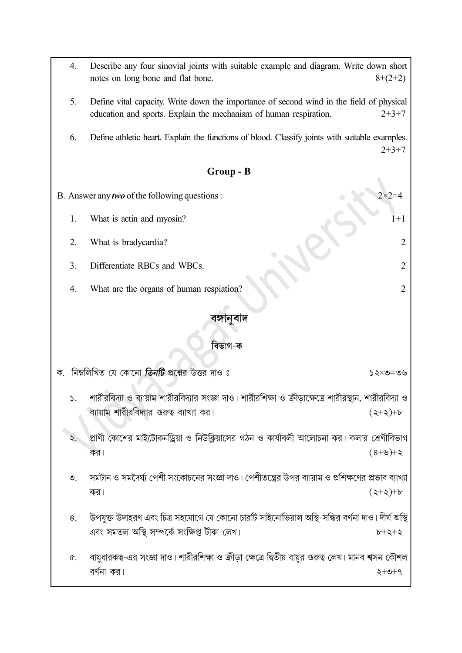- 4. Describe any four sinovial joints with suitable example and diagram. Write down short notes on long bone and flat bone.  $8+(2+2)$
- 5. Define vital capacity. Write down the importance of second wind in the field of physical education and sports. Explain the mechanism of human respiration. 2+3+7
- 6. Define athletic heart. Explain the functions of blood. Classify joints with suitable examples.  $2+3+7$

#### Group - B

- B. Answer any *two* of the following questions :  $2 \times 2 = 4$ 1. What is actin and myosin? 1+1 2. What is bradycardia? 2 3. Differentiate RBCs and WBCs. 2
	- 4. What are the organs of human respiation? 2

### বঙ্গানবাদ

#### বিভাগ-ক

ক. নিম্নলিখিত যে কোনো তিনটি প্রশ্নের উত্তর দাও ঃ  $20 = 2 \times 52$ শারীরবিদ্যা ও ব্যায়াম শারীরবিদ্যার সংজ্ঞা দাও। শারীরশিক্ষা ও ক্রীডাক্ষেত্রে শারীরস্থান, শারীরবিদ্যা ও  $\mathbf{S}$ . ব্যায়াম শারীরবিদ্যার গুরুত্ব ব্যাখ্যা কর।  $(2+2)+b$ প্রাণী কোশের মাইটোকনড্রিয়া ও নিউক্লিয়াসের গঠন ও কার্যাবলী আলোচনা কর। কলার শ্রেণীবিভাগ  $\lambda$ . কর।  $5+(6+8)$ সমটান ও সমদৈর্ঘ্য পেশী সংকোচনের সংজ্ঞা দাও। পেশীতন্ত্রের উপর ব্যায়াম ও প্রশিক্ষণের প্রভাব ব্যাখ্যা  $\mathcal{O}_{\mathcal{L}}$  $(3+3)+b$ কর। উপযুক্ত উদাহরণ এবং চিত্র সহযোগে যে কোনো চারটি সাইনোভিয়াল অস্থি-সন্ধির বর্ণনা দাও। দীর্ঘ অস্থি 8. এবং সমতল অস্থি সম্পর্কে সংক্ষিপ্ত টীকা লেখ।  $b + 2 + 3$ 

বায়ধারকত্ব-এর সংজ্ঞা দাও। শারীরশিক্ষা ও ক্রীডা ক্ষেত্রে দ্বিতীয় বায়র গুরুত্ব লেখ। মানব শ্বসন কৌশল  $\alpha$ . বর্ণনা কর।  $2+0+9$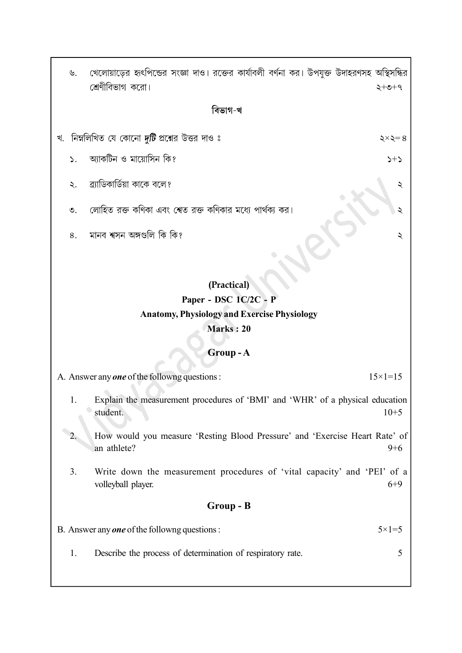খেলোয়াড়ের হৃৎপিন্ডের সংজ্ঞা দাও। রক্তের কার্যাবলী বর্ণনা কর। উপযুক্ত উদাহরণসহ অস্থিসন্ধির  $\mathcal{Y}$ . শ্রেণীবিভাগ করো।  $+ 2 + 5$ 

#### বিভাগ-খ

খ. নিম্নলিখিত যে কোনো *দুটি* প্রশ্নের উত্তর দাও ঃ

আকটিন ও মায়োসিন কি?  $\sum$ 

- ব্র্যাডিকার্ডিয়া কাকে বলে?  $\ddot{\mathcal{L}}$ .
- লোহিত রক্ত কণিকা এবং শেত রক্ত কণিকার মধ্যে পার্থক্য কর।  $\mathcal{O}_{\mathcal{L}}$
- মানব শ্বসন অঙ্গগুলি কি কি? 8.

## (Practical) Paper - DSC 1C/2C - P Anatomy, Physiology and Exercise Physiology Marks : 20

### Group - A

- A. Answer any **one** of the followng questions :  $15 \times 1 = 15$ 
	- 1. Explain the measurement procedures of 'BMI' and 'WHR' of a physical education student. 10+5
	- 2. How would you measure 'Resting Blood Pressure' and 'Exercise Heart Rate' of an athlete?  $9+6$
	- 3. Write down the measurement procedures of 'vital capacity' and 'PEI' of a volleyball player. 6+9

#### Group - B

B. Answer any *one* of the followng questions :  $5 \times 1 = 5$ 

1. Describe the process of determination of respiratory rate. 5

 $\xi \times \xi = 8$  $5+5$ 

২

২